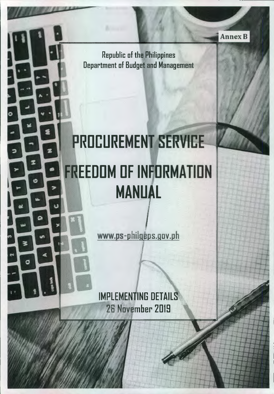Republic of the Philippines Department of Budget and Management

# **PROCUREMENT SERVICE FREEDDM OF INFORMATION MANUAL**

ø

www.ps-philgeps.gov.ph

IMPLEMENTING DETAILS 28 November 2019

**Annex B**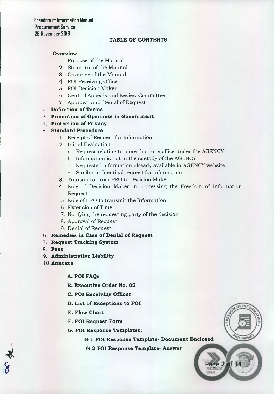# **TABLE OF CONTENTS**

# 1. **Overview**

- 1. Purpose of the Manual
- 2. Structure of the Manual
- 3. Coverage of the Manual
- 4. FOI Receiving Officer
- 5. FOI Decision Maker
- 6. Central Appeals and Review Committee
- 7. Approval and Denial of Request
- 2. **Definition of Terms**
- 3. **Promotion of Openness in Government**
- 4. **Protection of Privacy**
- 5. **Standard Procedure** 
	- 1. Receipt of Request for Information
	- 2. Initial Evaluation
		- a. Request relating to more than one office under the AGENCY
		- b. Information is not in the custody of the AGENCY
		- c. Requested information already available in AGENCY website
		- d. Similar or Identical request for information
	- 3. Transmittal from FRO to Decision Maker
	- 4. Role of Decision Maker in processing the Freedom of Information Request
	- 5. Role of FRO to transmit the Information
	- 6. Extension of Time
	- 7. Notifying the requesting party of the decision
	- 8. Approval of Request
	- 9. Denial of Request
- 6. **Remedies in Case of Denial of Request**
- 7. **Request Tracking System**
- 8. **Fees**

 $\frac{1}{2}$ 

- 9. **Administrative Liability**
- **10.Annexes** 
	- **A. FOI FAQs**
	- **B. Executive Order No. 02**
	- **C. FOI Receiving Officer**
	- **D. List of Exceptions to FOI**
	- **E. Flow Chart**
	- **F. FOI Request Form**
	- **G. FOI Response Templates:**

**G-1 FOI Response Template- Document Enclosed** 

**LIDDIN** 

ge 2 of 34

**G-2 FOI Response Template- Answer**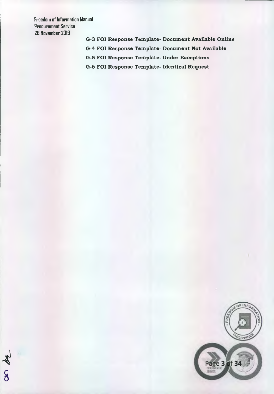as de

**G-3 FOI Response Template- Document Available Online** 

**G-4 FOI Response Template- Document Not Available** 

**G-5 FOI Response Template- Under Exceptions** 

**G-6 FOI Response Template- Identical Request** 

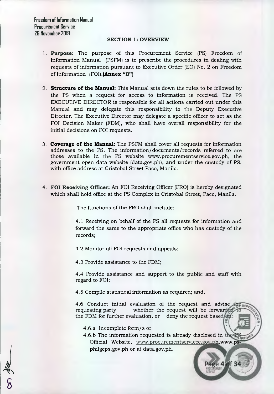### **SECTION 1: OVERVIEW**

- **1. Purpose:** The purpose of this Procurement Service (PS) Freedom of Information Manual (PSFM) is to prescribe the procedures in dealing with requests of information pursuant to Executive Order (E0) No. 2 on Freedom of Information (FOI).(Annex **"B")**
- **2. Structure of the Manual:** This Manual sets down the rules to be followed by the PS when a request for access to information is received. The PS EXECUTIVE DIRECTOR is responsible for all actions carried out under this Manual and may delegate this responsibility to the Deputy Executive Director. The Executive Director may delegate a specific officer to act as the FOI Decision Maker (FDM), who shall have overall responsibility for the initial decisions on FOI requests.
- **3. Coverage of the Manual:** The PSFM shall cover all requests for information addresses to the PS. The information/documents/records referred to are those available in the PS website www.procurementservice.gov.ph, the government open data website (data.gov.ph), and under the custody of PS. with office address at Cristobal Street Paco, Manila.
- **4. POI Receiving Officer:** An FOI Receiving Officer (FRO) is hereby designated which shall hold office at the PS Complex in Cristobal Street, Paco, Manila.

The functions of the FRO shall include:

4.1 Receiving on behalf of the PS all requests for information and forward the same to the appropriate office who has custody of the records;

4.2 Monitor all FOI requests and appeals;

4.3 Provide assistance to the FDM;

4.4 Provide assistance and support to the public and staff with regard to FOI;

4.5 Compile statistical information as required; and,

4.6 Conduct initial evaluation of the request and advise  $\pm \frac{1}{2}$ requesting party whether the request will be forwarded the FDM for further evaluation, or deny the request based  $\frac{d\mathbf{u}}{d\mathbf{v}}$ :

4.6.a Incomplete form/s or

4

 $\delta$ 

4.6.b The information requested is already disclosed in the  $\mathbb F$ **WPPIN** Official Website, www.procurementservicce.gov.ph,www.psphilgeps.gov.ph or at data.gov.ph.

Page 4 of 34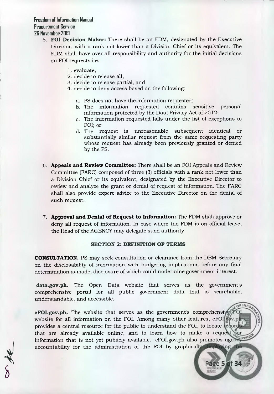- **5. FOI Decision Maker:** There shall be an FDM, designated by the Executive Director, with a rank not lower than a Division Chief or its equivalent. The FDM shall have over all responsibility and authority for the initial decisions on FOI requests i.e.
	- 1. evaluate,
	- 2. decide to release all,
	- 3. decide to release partial, and
	- 4. decide to deny access based on the following:
		- a. PS does not have the information requested;
		- b. The information requested contains sensitive personal information protected by the Data Privacy Act of 2012;
		- c. The information requested falls under the list of exceptions to FOI; or
		- d. The request is unreasonable subsequent identical or substantially similar request from the same requesting party whose request has already been previously granted or denied by the PS.
	- 6. **Appeals and Review Committee:** There shall be an FOI Appeals and Review Committee (FARC) composed of three (3) officials with a rank not lower than a Division Chief or its equivalent, designated by the Executive Director to review and analyze the grant or denial of request of information. The FARC shall also provide expert advice to the Executive Director on the denial of such request.
	- 7. **Approval and Denial of Request to Information:** The FDM shall approve or deny all request of information. In case where the FDM is on official leave, the Head of the AGENCY may delegate such authority.

## **SECTION 2: DEFINITION OF TERMS**

**CONSULTATION.** PS may seek consultation or clearance from the DBM Secretary on the disclosability of information with budgeting implications before any final determination is made, disclosure of which could undermine government interest.

**data.gov.ph.** The Open Data website that serves as the government's comprehensive portal for all public government data that is searchable, understandable, and accessible.

**eFOI.gov.ph.** The website that serves as the government's comprehensives website for all information on the FOI. Among many other features, eFOI gov.p. provides a central resource for the public to understand the FOI, to locate record that are already available online, and to learn how to make a request information that is not yet publicly available. eFOI.gov.ph also promotes agency accountability for the administration of the FOI by graphicall

age 5 of 34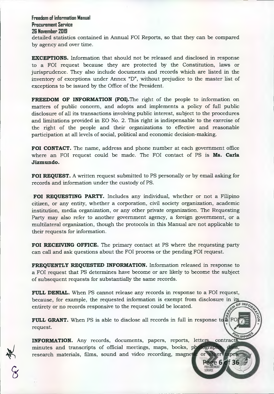detailed statistics contained in Annual FOI Reports, so that they can be compared by agency and over time.

**EXCEPTIONS.** Information that should not be released and disclosed in response to a FOI request because they are protected by the Constitution, laws or jurisprudence. They also include documents and records which are listed in the inventory of exceptions under Annex "D", without prejudice to the master list of exceptions to be issued by the Office of the President.

**FREEDOM OF INFORMATION (FOI). The right of the people to information on** matters of public concern, and adopts and implements a policy of full public disclosure of all its transactions involving public interest, subject to the procedures and limitations provided in EO No. 2. This right is indispensable to the exercise of the right of the people and their organizations to effective and reasonable participation at all levels of social, political and economic decision-making.

**FOI CONTACT.** The name, address and phone number at each government office where an FOI request could be made. The FOI contact of PS is **Ms. Carla Jizmundo.** 

**FOI REQUEST.** A written request submitted to PS personally or by email asking for records and information under the custody of PS.

**FOI REQUESTING PARTY.** Includes any individual, whether or not a Filipino citizen, or any entity, whether a corporation, civil society organization, academic institution, media organization, or any other private organization. The Requesting Party may also refer to another government agency, a foreign government, or a multilateral organization, though the protocols in this Manual are not applicable to their requests for information.

**FOI RECEIVING OFFICE.** The primary contact at PS where the requesting party can call and ask questions about the FOI process or the pending FOI request.

**FREQUENTLY REQUESTED INFORMATION.** Information released in response to a FOI request that PS determines have become or are likely to become the subject of subsequent requests for substantially the same records.

**FULL DENIAL.** When PS cannot release any records in response to a FOI request, because, for example, the requested information is exempt from disclosure in it entirety or no records responsive to the request could be located.

**FULL GRANT.** When PS is able to disclose all records in full in response to request.

**INFORMATION.** Any records, documents, papers, reports, letters, contracts minutes and transcripts of official meetings, maps, books, photograp. research materials, films, sound and video recording, magne

е 6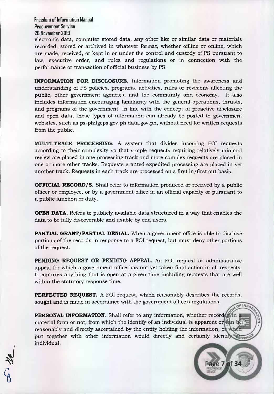electronic data, computer stored data, any other like or similar data or materials recorded, stored or archived in whatever format, whether offline or online, which are made, received, or kept in or under the control and custody of PS pursuant to law, executive order, and rules and regulations or in connection with the performance or transaction of official business by PS.

**INFORMATION FOR DISCLOSURE.** Information promoting the awareness and understanding of PS policies, programs, activities, rules or revisions affecting the public, other government agencies, and the community and economy. It also includes information encouraging familiarity with the general operations, thrusts, and programs of the government. In line with the concept of proactive disclosure and open data, these types of information can already be posted to government websites, such as ps-philgeps.gov.ph data.gov.ph, without need for written requests from the public.

**MULTI-TRACK PROCESSING.** A system that divides incoming FOI requests according to their complexity so that simple requests requiring relatively minimal review are placed in one processing track and more complex requests are placed in one or more other tracks. Requests granted expedited processing are placed in yet another track. Requests in each track are processed on a first in/first out basis.

**OFFICIAL RECORD/S.** Shall refer to information produced or received by a public officer or employee, or by a government office in an official capacity or pursuant to a public function or duty.

**OPEN DATA.** Refers to publicly available data structured in a way that enables the data to be fully discoverable and usable by end users.

**PARTIAL GRANT/PARTIAL DENIAL.** When a government office is able to disclose portions of the records in response to a FOI request, but must deny other portions of the request.

**PENDING REQUEST OR PENDING APPEAL.** An FOI request or administrative appeal for which a government office has not yet taken final action in all respects. It captures anything that is open at a given time including requests that are well within the statutory response time.

**PERFECTED REQUEST.** A FOI request, which reasonably describes the records, sought and is made in accordance with the government office's regulations. OF INFO

**PERSONAL INFORMATION**. Shall refer to any information, whether record  $\frac{d}{dx}$  in material form or not, from which the identify of an individual is apparent or can be reasonably and directly ascertained by the entity holding the information, o put together with other information would directly and certainly identify all permit individual.

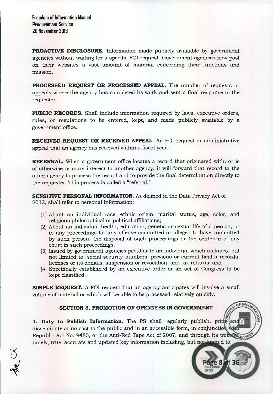**PROACTIVE DISCLOSURE.** Information made publicly available by government agencies without waiting for a specific FOI request. Government agencies now post on their websites a vast amount of material concerning their functions and mission.

**PROCESSED REQUEST OR PROCESSED APPEAL.** The number of requests or appeals where the agency has completed its work and sent a final response to the requester.

**PUBLIC RECORDS.** Shall include information required by laws, executive orders, rules, or regulations to be entered, kept, and made publicly available by a government office.

**RECEIVED REQUEST OR RECEIVED APPEAL.** An FOI request or administrative appeal that an agency has received within a fiscal year.

**REFERRAL.** When a government office locates a record that originated with, or is of otherwise primary interest to another agency, it will forward that record to the other agency to process the record and to provide the final determination directly to the requester. This process is called a "referral."

**SENSITIVE PERSONAL INFORMATION.** As defined in the Data Privacy Act of 2012, shall refer to personal information:

- (1) About an individual race, ethnic origin, marital status, age, color, and religious philosophical or political affiliations;
- (2) About an individual health, education, genetic or sexual life of a person, or to any proceedings for any offense committed or alleged to have committed by such person, the disposal of such proceedings or the sentence of any court in such proceedings;
- (3) Issued by government agencies peculiar to an individual which includes, but not limited to, social security numbers, previous or current health records, licenses or its denials, suspension or revocation, and tax returns; and
- (4) Specifically established by an executive order or an act of Congress to be kept classified.

**SIMPLE REQUEST.** A FOI request that an agency anticipates will involve a small volume of material or which will be able to be processed relatively quickly.

# **SECTION 3. PROMOTION OF OPENNESS IN GOVERNMENT**

**1. Duty to Publish Information.** The PS shall regularly publish,  $\text{print}$   $\mathbb{F}_{\text{def}}$  and disseminate at no cost to the public and in an accessible form, in conjunctio Republic Act No. 9485, or the Anti-Red Tape Act of 2007, and through its websity timely, true, accurate and updated key information including, but not limited to:

f 36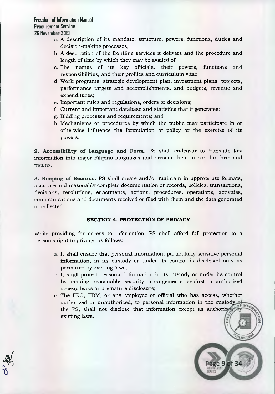$\frac{1}{2}$ 

 $\Delta$ 

- a. A description of its mandate, structure, powers, functions, duties and decision-making processes;
- b. A description of the frontline services it delivers and the procedure and length of time by which they may be availed of;
- c. The names of its key officials, their powers, functions and responsibilities, and their profiles and curriculum vitae;
- d. Work programs, strategic development plan, investment plans, projects, performance targets and accomplishments, and budgets, revenue and expenditures;
- e. Important rules and regulations, orders or decisions;
- f. Current and important database and statistics that it generates;
- g. Bidding processes and requirements; and
- h. Mechanisms or procedures by which the public may participate in or otherwise influence the formulation of policy or the exercise of its powers.

**2. Accessibility of Language and Form.** PS shall endeavor to translate key information into major Filipino languages and present them in popular form and means.

**3. Keeping of Records.** PS shall create and/or maintain in appropriate formats, accurate and reasonably complete documentation or records, policies, transactions, decisions, resolutions, enactments, actions, procedures, operations, activities, communications and documents received or filed with them and the data generated or collected.

# **SECTION 4. PROTECTION OF PRIVACY**

While providing for access to information, PS shall afford full protection to a person's right to privacy, as follows:

- a. It shall ensure that personal information, particularly sensitive personal information, in its custody or under its control is disclosed only as permitted by existing laws;
- b. It shall protect personal information in its custody or under its control by making reasonable security arrangements against unauthorized access, leaks or premature disclosure;
- c. The FRO, FDM, or any employee or official who has access, whether authorized or unauthorized, to personal information in the custody of the PS, shall not disclose that information except as authorized existing laws.

LIPPIN

f 34

9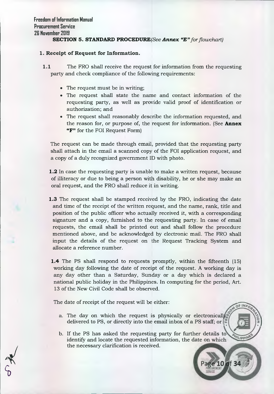# **SECTION 5. STANDARD PROCEDURE(See** *Annex "E" for flowchart)*

# **1. Receipt of Request for Information.**

- **1.1** The FRO shall receive the request for information from the requesting party and check compliance of the following requirements:
	- The request must be in writing;
	- The request shall state the name and contact information of the requesting party, as well as provide valid proof of identification or authorization; and
	- The request shall reasonably describe the information requested, and the reason for, or purpose of, the request for information. (See **Annex "F"** for the FOI Request Form)

The request can be made through email, provided that the requesting party shall attach in the email a scanned copy of the FOI application request, and a copy of a duly recognized government ID with photo.

**1.2** In case the requesting party is unable to make a written request, because of illiteracy or due to being a person with disability, he or she may make an oral request, and the FRO shall reduce it in writing.

**1.3** The request shall be stamped received by the FRO, indicating the date and time of the receipt of the written request, and the name, rank, title and position of the public officer who actually received it, with a corresponding signature and a copy, furnished to the requesting party. In case of email requests, the email shall be printed out and shall follow the procedure mentioned above, and be acknowledged by electronic mail. The FRO shall input the details of the request on the Request Tracking System and allocate a reference number.

**1.4** The PS shall respond to requests promptly, within the fifteenth (15) working day following the date of receipt of the request. A working day is any day other than a Saturday, Sunday or a day which is declared a national public holiday in the Philippines. In computing for the period, Art. 13 of the New Civil Code shall be observed.

The date of receipt of the request will be either:

- a. The day on which the request is physically or electronically delivered to PS, or directly into the email inbox of a PS staff; or
- b. If the PS has asked the requesting party for further details to identify and locate the requested information, the date on which the necessary clarification is received.

**VILIPPIN** 

10 of 34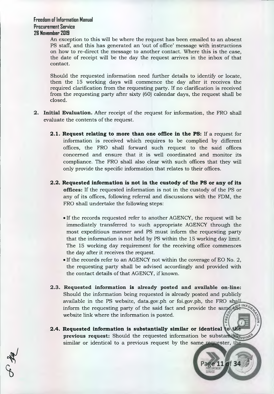An exception to this will be where the request has been emailed to an absent PS staff, and this has generated an 'out of office' message with instructions on how to re-direct the message to another contact. Where this is the case, the date of receipt will be the day the request arrives in the inbox of that contact.

Should the requested information need further details to identify or locate, then the 15 working days will commence the day after it receives the required clarification from the requesting party. If no clarification is received from the requesting party after sixty (60) calendar days, the request shall be closed.

- **2. Initial Evaluation.** After receipt of the request for information, the FRO shall evaluate the contents of the request.
	- **2.1. Request relating to more than one office in the PS:** If a request for information is received which requires to be complied by different offices, the FRO shall forward such request to the said offices concerned and ensure that it is well coordinated and monitor its compliance. The FRO shall also clear with such offices that they will only provide the specific information that relates to their offices.
	- **2.2. Requested information is not in the custody of the PS or any of its offices:** If the requested information is not in the custody of the PS or any of its offices, following referral and discussions with the FDM, the FRO shall undertake the following steps:
		- If the records requested refer to another AGENCY, the request will be immediately transferred to such appropriate AGENCY through the most expeditious manner and PS must inform the requesting party that the information is not held by PS within the 15 working day limit. The 15 working day requirement for the receiving office commences the day after it receives the request.
		- If the records refer to an AGENCY not within the coverage of EO No. 2, the requesting party shall be advised accordingly and provided with the contact details of that AGENCY, if known.
	- **2.3. Requested information is already posted and available on-line:**  Should the information being requested is already posted and publicly available in the PS website, data.gov.ph or foi.gov.ph, the FRO shall E INFO inform the requesting party of the said fact and provide the s website link where the information is posted.
	- **2.4. Requested information is substantially similar or identical previous request:** Should the requested information be substantially similar or identical to a previous request by the same requester, the

age 11 of 34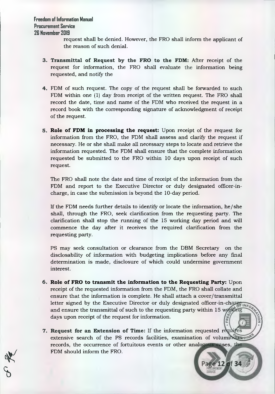4/

request shall be denied. However, the FRO shall inform the applicant of the reason of such denial.

- **3. Transmittal of Request by the FRO to the FDM:** After receipt of the request for information, the FRO shall evaluate the information being requested, and notify the
- 4. FDM of such request. The copy of the request shall be forwarded to such FDM within one (1) day from receipt of the written request. The FRO shall record the date, time and name of the FDM who received the request in a record book with the corresponding signature of acknowledgment of receipt of the request.
- **5. Role of FDM in processing the request:** Upon receipt of the request for information from the FRO, the FDM shall assess and clarify the request if necessary. He or she shall make all necessary steps to locate and retrieve the information requested. The FDM shall ensure that the complete information requested be submitted to the FRO within 10 days upon receipt of such request.

The FRO shall note the date and time of receipt of the information from the FDM and report to the Executive Director or duly designated officer-incharge, in case the submission is beyond the 10-day period.

If the FDM needs further details to identify or locate the information, he/she shall, through the FRO, seek clarification from the requesting party. The clarification shall stop the running of the 15 working day period and will commence the day after it receives the required clarification from the requesting party.

PS may seek consultation or clearance from the DBM Secretary on the disclosability of information with budgeting implications before any fmal determination is made, disclosure of which could undermine government interest.

- **6. Role of FRO to transmit the information to the Requesting Party:** Upon receipt of the requested information from the FDM, the FRO shall collate and ensure that the information is complete. He shall attach a cover/transmittal letter signed by the Executive Director or duly designated officer-in-charge INFO and ensure the transmittal of such to the requesting party within 15 wordeng days upon receipt of the request for information.
- **7. Request for an Extension of Time:** If the information requested r extensive search of the PS records facilities, examination of volumination records, the occurrence of fortuitous events or other analogous cases, the FDM should inform the FRO.

Page 12 of 34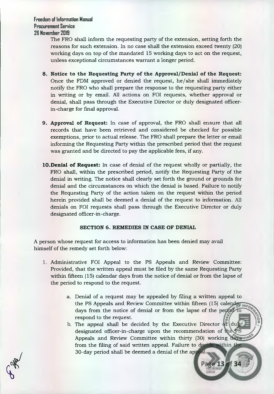> The FRO shall inform the requesting party of the extension, setting forth the reasons for such extension. In no case shall the extension exceed twenty (20) working days on top of the mandated 15 working days to act on the request, unless exceptional circumstances warrant a longer period.

- **8. Notice to the Requesting Party of the Approval/Denial of the Request:**  Once the FDM approved or denied the request, he/she shall immediately notify the FRO who shall prepare the response to the requesting party either in writing or by email. All actions on FOI requests, whether approval or denial, shall pass through the Executive Director or duly designated officerin-charge for final approval.
- **9. Approval of Request:** In case of approval, the FRO shall ensure that all records that have been retrieved and considered be checked for possible exemptions, prior to actual release. The FRO shall prepare the letter or email informing the Requesting Party within the prescribed period that the request was granted and be directed to pay the applicable fees, if any.
- **10.Denial of Request:** In case of denial of the request wholly or partially, the FRO shall, within the prescribed period, notify the Requesting Party of the denial in writing. The notice shall clearly set forth the ground or grounds for denial and the circumstances on which the denial is based. Failure to notify the Requesting Party of the action taken on the request within the period herein provided shall be deemed a denial of the request to information. All denials on FOI requests shall pass through the Executive Director or duly designated officer-in-charge.

#### **SECTION 6. REMEDIES IN CASE OF DENIAL**

A person whose request for access to information has been denied may avail himself of the remedy set forth below:

- 1. Administrative FOI Appeal to the PS Appeals and Review Committee: Provided, that the written appeal must be filed by the same Requesting Party within fifteen (15) calendar days from the notice of denial or from the lapse of the period to respond to the request.
	- a. Denial of a request may be appealed by filing a written appeal to the PS Appeals and Review Committee within fifteen (15) calendar INFO days from the notice of denial or from the lapse of the period to respond to the request.
	- b. The appeal shall be decided by the Executive Director  $\frac{d}{dt}$  dubit designated officer-in-charge upon the recommendation of the PS Appeals and Review Committee within thirty (30) working development from the filing of said written appeal. Failure to decide within the 30-day period shall be deemed a denial of the ap

Page 13 of 34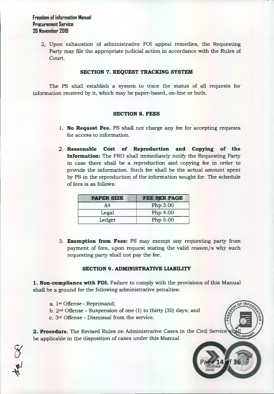> 2. Upon exhaustion of administrative FOI appeal remedies, the Requesting Party may file the appropriate judicial action in accordance with the Rules of Court.

## **SECTION 7. REQUEST TRACKING SYSTEM**

The PS shall establish a system to trace the status of all requests for information received by it, which may be paper-based, on-line or both.

## **SECTION 8. FEES**

- **1. No Request Fee.** PS shall not charge any fee for accepting requests for access to information.
- **2. Reasonable Cost of Reproduction and Copying of the Information:** The FRO shall immediately notify the Requesting Party in case there shall be a reproduction and copying fee in order to provide the information. Such fee shall be the actual amount spent by PS in the reproduction of the information sought for. The schedule of fees is as follows:

| <b>DR SIZD</b> | <b>PER PAGE</b> |
|----------------|-----------------|
| Α4             | Php 3.00        |
| Legal          | Php 4.00        |
| Ledger         | Php 5.00        |

**3. Exemption from Fees:** PS may exempt any requesting party from payment of fees, upon request stating the valid reason/s why such requesting party shall not pay the fee.

# **SECTION 9. ADMINISTRATIVE LIABILITY**

**1. Non-compliance with FOI.** Failure to comply with the provisions of this Manual shall be a ground for the following administrative penalties:

a. 1st Offense- Reprimand;

the CK

- b.  $2<sup>nd</sup>$  Offense Suspension of one (1) to thirty (30) days; and
- c. 3rd Offense Dismissal from the service.

**2. Procedure.** The Revised Rules on Administrative Cases in the Civil Service be applicable in the disposition of cases under this Manual.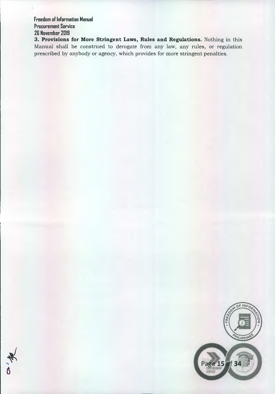**3. Provisions for More Stringent Laws, Rules and Regulations.** Nothing in this Manual shall be construed to derogate from any law, any rules, or regulation prescribed by anybody or agency, which provides for more stringent penalties.



\_<br>ტ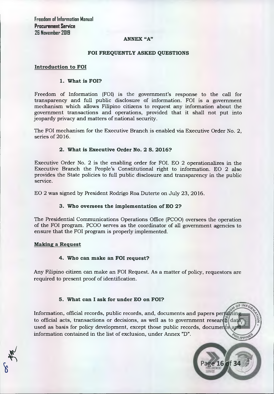# **ANNEX "A"**

# **FOI FREQUENTLY ASKED QUESTIONS**

## **Introduction to FOI**

## **1. What is FOI?**

Freedom of Information (FOI) is the government's response to the call for transparency and full public disclosure of information. FOI is a government mechanism which allows Filipino citizens to request any information about the government transactions and operations, provided that it shall not put into jeopardy privacy and matters of national security.

The FOI mechanism for the Executive Branch is enabled via Executive Order No. 2, series of 2016.

## **2. What is Executive Order No. 2 S. 2016?**

Executive Order No. 2 is the enabling order for FOI. EO 2 operationalizes in the Executive Branch the People's Constitutional right to information. EO 2 also provides the State policies to full public disclosure and transparency in the public service.

EO 2 was signed by President Rodrigo Roa Duterte on July 23, 2016.

# **3. Who oversees the implementation of EO 2?**

The Presidential Communications Operations Office (PC00) oversees the operation of the FOI program. PC00 serves as the coordinator of all government agencies to ensure that the FOI program is properly implemented.

#### **Making a Request**

# **4. Who can make an FOI request?**

Any Filipino citizen can make an FOI Request. As a matter of policy, requestors are required to present proof of identification.

# **5. What can I ask for under EO on FOI?**

Information, official records, public records, and, documents and papers pertal to official acts, transactions or decisions, as well as to government research  $\frac{d}{dt}$ used as basis for policy development, except those public records, documents information contained in the list of exclusion, under Annex "D". VILIPPINE

16 of 34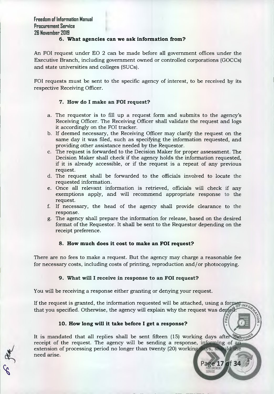# **6. What agencies can we ask information from?**

An FOI request under EO 2 can be made before all government offices under the Executive Branch, including government owned or controlled corporations (GOCCs) and state universities and colleges (SUCs).

FOI requests must be sent to the specific agency of interest, to be received by its respective Receiving Officer.

# **7. How do I make an FOI request?**

- a. The requestor is to fill up a request form and submits to the agency's Receiving Officer. The Receiving Officer shall validate the request and logs it accordingly on the FOI tracker.
- b. If deemed necessary, the Receiving Officer may clarify the request on the same day it was filed, such as specifying the information requested, and providing other assistance needed by the Requestor.
- c. The request is forwarded to the Decision Maker for proper assessment. The Decision Maker shall check if the agency holds the information requested, if it is already accessible, or if the request is a repeat of any previous request.
- d. The request shall be forwarded to the officials involved to locate the requested information.
- e. Once all relevant information is retrieved, officials will check if any exemptions apply, and will recommend appropriate response to the request.
- f. If necessary, the head of the agency shall provide clearance to the response.
- g. The agency shall prepare the information for release, based on the desired format of the Requestor. It shall be sent to the Requestor depending on the receipt preference.

# **8. How much does it cost to make an FOI request?**

There are no fees to make a request. But the agency may charge a reasonable fee for necessary costs, including costs of printing, reproduction and/or photocopying.

# **9. What will I receive in response to an FOI request?**

You will be receiving a response either granting or denying your request.

If the request is granted, the information requested will be attached, using a formation that you specified. Otherwise, the agency will explain why the request was device

# **10. How long will it take before I get a response?**

It is mandated that all replies shall be sent fifteen (15) working days after the receipt of the request. The agency will be sending a response, informing of an extension of processing period no longer than twenty (20) working days, sho need arise.

Page 17 of 34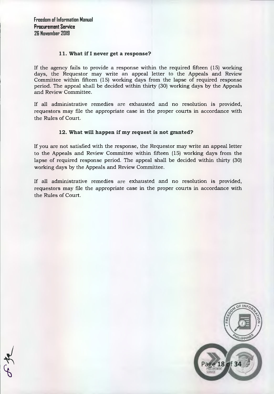# **11. What if I never get a response?**

If the agency fails to provide a response within the required fifteen (15) working days, the Requestor may write an appeal letter to the Appeals and Review Committee within fifteen (15) working days from the lapse of required response period. The appeal shall be decided within thirty (30) working days by the Appeals and Review Committee.

If all administrative remedies are exhausted and no resolution is provided, requestors may file the appropriate case in the proper courts in accordance with the Rules of Court.

# **12. What will happen if my request is not granted?**

If you are not satisfied with the response, the Requestor may write an appeal letter to the Appeals and Review Committee within fifteen (15) working days from the lapse of required response period. The appeal shall be decided within thirty (30) working days by the Appeals and Review Committee.

If all administrative remedies are exhausted and no resolution is provided, requestors may file the appropriate case in the proper courts in accordance with the Rules of Court.



 $\varphi$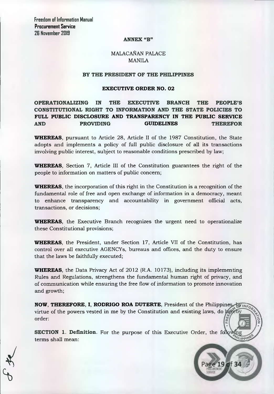#### **ANNEX "B"**

# MALACAÑAN PALACE MANILA

## **BY THE PRESIDENT OF THE PHILIPPINES**

## **EXECUTIVE ORDER NO. 02**

# **OPERATIONALIZING IN THE EXECUTIVE BRANCH THE PEOPLE'S CONSTITUTIONAL RIGHT TO INFORMATION AND THE STATE POLICIES TO FULL PUBLIC DISCLOSURE AND TRANSPARENCY IN THE PUBLIC SERVICE AND PROVIDING GUIDELINES THEREFOR**

**WHEREAS,** pursuant to Article 28, Article II of the 1987 Constitution, the State adopts and implements a policy of full public disclosure of all its transactions involving public interest, subject to reasonable conditions prescribed by law;

**WHEREAS,** Section 7, Article III of the Constitution guarantees the right of the people to information on matters of public concern;

**WHEREAS,** the incorporation of this right in the Constitution is a recognition of the fundamental role of free and open exchange of information in a democracy, meant to enhance transparency and accountability in government official acts, transactions, or decisions;

**WHEREAS,** the Executive Branch recognizes the urgent need to operationalize these Constitutional provisions;

**WHEREAS,** the President, under Section 17, Article VII of the Constitution, has control over all executive AGENCYs, bureaus and offices, and the duty to ensure that the laws be faithfully executed;

**WHEREAS,** the Data Privacy Act of 2012 (R.A. 10173), including its implementing Rules and Regulations, strengthens the fundamental human right of privacy, and of communication while ensuring the free flow of information to promote innovation and growth;

**NOW, THEREFORE, I, RODRIGO ROA DUTERTE,** President of the Philippine virtue of the powers vested in me by the Constitution and existing laws, do order:

LIPPINE

19 of 34

**SECTION 1. Definition.** For the purpose of this Executive Order, the following terms shall mean: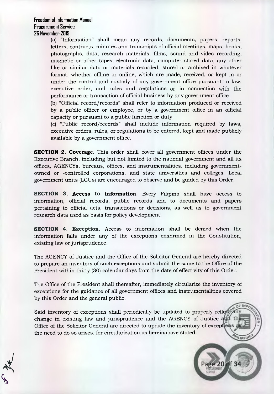(a) "Information" shall mean any records, documents, papers, reports, letters, contracts, minutes and transcripts of official meetings, maps, books, photographs, data, research materials, films, sound and video recording, magnetic or other tapes, electronic data, computer stored data, any other like or similar data or materials recorded, stored or archived in whatever format, whether offline or online, which are made, received, or kept in or under the control and custody of any government office pursuant to law, executive order, and rules and regulations or in connection with the performance or transaction of official business by any government office.

(b) "Official record/records" shall refer to information produced or received by a public officer or employee, or by a government office in an official capacity or pursuant to a public function or duty.

(c) "Public record/records" shall include information required by laws, executive orders, rules, or regulations to be entered, kept and made publicly available by a government office.

**SECTION 2. Coverage.** This order shall cover all government offices under the Executive Branch, including but not limited to the national government and all its offices, AGENCYs, bureaus, offices, and instrumentalities, including governmentowned or -controlled corporations, and state universities and colleges. Local government units (LGUs) are encouraged to observe and be guided by this Order.

**SECTION 3. Access to information.** Every Filipino shall have access to information, official records, public records and to documents and papers pertaining to official acts, transactions or decisions, as well as to government research data used as basis for policy development.

**SECTION 4. Exception.** Access to information shall be denied when the information falls under any of the exceptions enshrined in the Constitution, existing law or jurisprudence.

The AGENCY of Justice and the Office of the Solicitor General are hereby directed to prepare an inventory of such exceptions and submit the same to the Office of the President within thirty (30) calendar days from the date of effectivity of this Order.

The Office of the President shall thereafter, immediately circularize the inventory of exceptions for the guidance of all government offices and instrumentalities covered by this Order and the general public.

Said inventory of exceptions shall periodically be updated to properly reflect any change in existing law and jurisprudence and the AGENCY of Justice and the Office of the Solicitor General are directed to update the inventory of excep the need to do so arises, for circularization as hereinabove stated. **HILIPPINE** 

e 20 of 34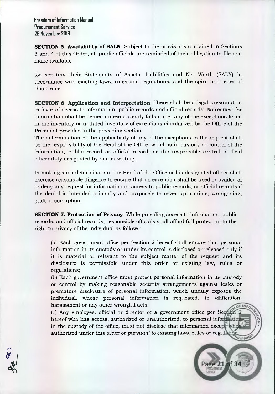**SECTION 5. Availability of SALN.** Subject to the provisions contained in Sections 3 and 4 of this Order, all public officials are reminded of their obligation to file and make available

for scrutiny their Statements of Assets, Liabilities and Net Worth (SALN) in accordance with existing laws, rules and regulations, and the spirit and letter of this Order.

**SECTION 6. Application and Interpretation.** There shall be a legal presumption in favor of access to information, public records and official records. No request for information shall be denied unless it clearly falls under any of the exceptions listed in the inventory or updated inventory of exceptions circularized by the Office of the President provided in the preceding section.

The determination of the applicability of any of the exceptions to the request shall be the responsibility of the Head of the Office, which is in custody or control of the information, public record or official record, or the responsible central or field officer duly designated by him in writing.

In making such determination, the Head of the Office or his designated officer shall exercise reasonable diligence to ensure that no exception shall be used or availed of to deny any request for information or access to public records, or official records if the denial is intended primarily and purposely to cover up a crime, wrongdoing, graft or corruption.

**SECTION 7. Protection of Privacy**. While providing access to information, public records, and official records, responsible officials shall afford full protection to the right to privacy of the individual as follows:

(a) Each government office per Section 2 hereof shall ensure that personal information in its custody or under its control is disclosed or released only if it is material or relevant to the subject matter of the request and its disclosure is permissible under this order or existing law, rules or regulations;

(b) Each government office must protect personal information in its custody or control by making reasonable security arrangements against leaks or premature disclosure of personal information, which unduly exposes the individual, whose personal information is requested, to vilification, harassment or any other wrongful acts.

(c) Any employee, official or director of a government office per Se hereof who has access, authorized or unauthorized, to personal information in the custody of the office, must not disclose that information except. authorized under this order or *pursuant to* existing laws, rules or regulation



**VILIPPINE**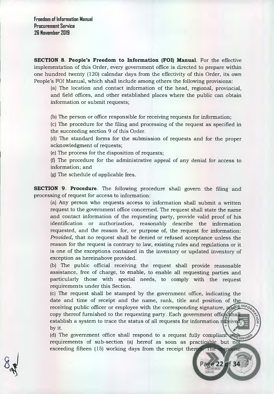**SECTION 8. People's Freedom to Information (FOI) Manual.** For the effective implementation of this Order, every government office is directed to prepare within one hundred twenty (120) calendar days from the effectivity of this Order, its own People's FOI Manual, which shall include among others the following provisions:

(a) The location and contact information of the head, regional, provincial, and field offices, and other established places where the public can obtain information or submit requests;

(b) The person or office responsible for receiving requests for information;

(c) The procedure for the filing and processing of the request as specified in the succeeding section 9 of this Order.

(d) The standard forms for the submission of requests and for the proper acknowledgment of requests;

(e) The process for the disposition of requests;

(f) The procedure for the administrative appeal of any denial for access to information; and

(g) The schedule of applicable fees.

**SECTION 9. Procedure.** The following procedure shall govern the filing and processing of request for access to information:

(a) Any person who requests access to information shall submit a written request to the government office concerned. The request shall state the name and contact information of the requesting party, provide valid proof of his identification or authorization, reasonably describe the information requested, and the reason for, or purpose of, the request for information: *Provided,* that no request shall be denied or refused acceptance unless the reason for the request is contrary to law, existing rules and regulations or it is one of the exceptions contained in the inventory or updated inventory of exception as hereinabove provided.

(b) The public official receiving the request shall provide reasonable assistance, free of charge, to enable, to enable all requesting parties and particularly those with special needs, to comply with the request requirements under this Section.

(c) The request shall be stamped by the government office, indicating the date and time of receipt and the name, rank, title and position of the receiving public officer or employee with the corresponding signature, and <sup>bilit</sup> copy thereof furnished to the requesting party. Each government office shall establish a system to trace the status of all requests for information reference by it.

(d) The government office shall respond to a request fully complian (d) The government office shall respond to a request rully compliant will perform requirements of sub-section (a) hereof as soon as practicable but not exceeding fifteen (15) working days from the receipt thereof. The response

Page 22 of 34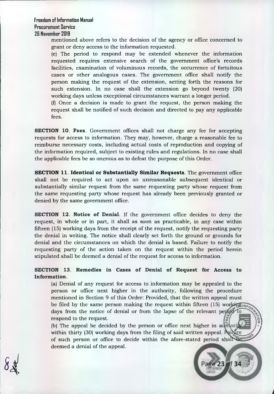mentioned above refers to the decision of the agency or office concerned to grant or deny access to the information requested.

(e) The period to respond may be extended whenever the information requested requires extensive search of the government office's records facilities, examination of voluminous records, the occurrence of fortuitous cases or other analogous cases. The government office shall notify the person making the request of the extension, setting forth the reasons for such extension. In no case shall the extension go beyond twenty (20) working days unless exceptional circumstances warrant a longer period.

(f) Once a decision is made to grant the request, the person making the request shall be notified of such decision and directed to pay any applicable fees.

**SECTION 10. Fees.** Government offices shall not charge any fee for accepting requests for access to information. They may, however, charge a reasonable fee to reimburse necessary costs, including actual costs of reproduction and copying of the information required, subject to existing rules and regulations. In no case shall the applicable fees be so onerous as to defeat the purpose of this Order.

**SECTION 11. Identical or Substantially Similar Requests.** The government office shall not be required to act upon an unreasonable subsequent identical or substantially similar request from the same requesting party whose request from the same requesting party whose request has already been previously granted or denied by the same government office.

**SECTION 12. Notice of Denial.** If the government office decides to deny the request, in whole or in part, it shall as soon as practicable, in any case within fifteen (15) working days from the receipt of the request, notify the requesting party the denial in writing. The notice shall clearly set forth the ground or grounds for denial and the circumstances on which the denial is based. Failure to notify the requesting party of the action taken on the request within the period herein stipulated shall be deemed a denial of the request for access to information.

# **SECTION 13. Remedies in Cases of Denial of Request for Access to Information.**

(a) Denial of any request for access to information may be appealed to the person or office next higher in the authority, following the procedure mentioned in Section 9 of this Order: Provided, that the written appeal must be filed by the same person making the request within fifteen (15) working days from the notice of denial or from the lapse of the relevant period to respond to the request.

(b) The appeal be decided by the person or office next higher in a within thirty (30) working days from the filing of said written appeal. Pailure of such person or office to decide within the afore-stated period shall the prior deemed a denial of the appeal.

23 of 34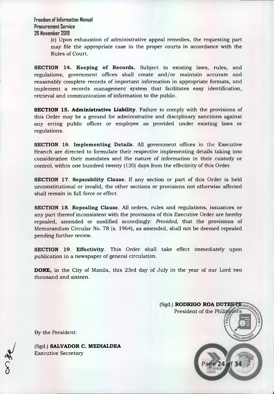> (c) Upon exhaustion of administrative appeal remedies, the requesting part may file the appropriate case in the proper courts in accordance with the Rules of Court.

**SECTION 14. Keeping of Records.** Subject to existing laws, rules, and regulations, government offices shall create and/or maintain accurate and reasonably complete records of important information in appropriate formats, and implement a records management system that facilitates easy identification, retrieval and communication of information to the public.

**SECTION 15. Administrative Liability**. Failure to comply with the provisions of this Order may be a ground for administrative and disciplinary sanctions against any erring public officer or employee as provided under existing laws or regulations.

**SECTION 16. Implementing Details.** All government offices in the Executive Branch are directed to formulate their respective implementing details taking into consideration their mandates and the nature of information in their custody or control, within one hundred twenty (120) days from the effectivity of this Order.

**SECTION 17. Separability Clause.** If any section or part of this Order is held unconstitutional or invalid, the other sections or provisions not otherwise affected shall remain in full force or effect.

**SECTION 18. Repealing Clause.** All orders, rules and regulations, issuances or any part thereof inconsistent with the provisions of this Executive Order are hereby repealed, amended or modified accordingly: *Provided,* that the provisions of Memorandum Circular No. 78 (s. 1964), as amended, shall not be deemed repealed pending further review.

**SECTION 19. Effectivity.** This Order shall take effect immediately upon publication in a newspaper of general circulation.

**DONE,** in the City of Manila, this 23rd day of July in the year of our Lord two thousand and sixteen.



By the President:

(Sgd.) **SALVADOR C. MEDIALDEA**  Executive Secretary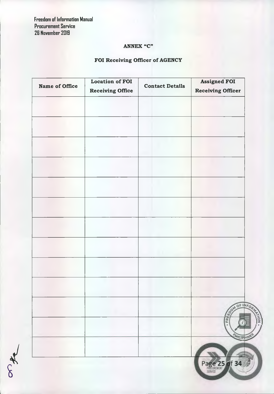orte

# **ANNEX "C"**

# **FOI Receiving Officer of AGENCY**

| Name of Office | Location of FOI<br><b>Receiving Office</b> | <b>Contact Details</b> | <b>Assigned FOI</b><br><b>Receiving Officer</b> |
|----------------|--------------------------------------------|------------------------|-------------------------------------------------|
|                |                                            |                        |                                                 |
|                |                                            |                        |                                                 |
|                |                                            |                        |                                                 |
|                |                                            |                        |                                                 |
|                |                                            |                        |                                                 |
|                |                                            |                        |                                                 |
|                |                                            |                        |                                                 |
|                |                                            |                        |                                                 |
|                |                                            |                        |                                                 |
|                |                                            |                        |                                                 |
|                |                                            |                        |                                                 |
|                |                                            |                        |                                                 |
|                |                                            |                        |                                                 |
|                |                                            |                        |                                                 |
|                |                                            |                        | <b>REAL PROPERTY AND</b>                        |
|                |                                            |                        | î<br>٠                                          |
|                |                                            |                        | HILIPPINE                                       |
|                |                                            |                        |                                                 |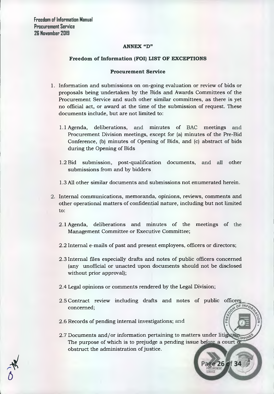## **ANNEX "D"**

# **Freedom of Information (FOI) LIST OF EXCEPTIONS**

## **Procurement Service**

- 1. Information and submissions on on-going evaluation or review of bids or proposals being undertaken by the Bids and Awards Committees of the Procurement Service and such other similar committees, as there is yet no official act, or award at the time of the submission of request. These documents include, but are not limited to:
	- 1.1 Agenda, deliberations, and minutes of BAC meetings and Procurement Division meetings, except for (a) minutes of the Pre-Bid Conference, (b) minutes of Opening of Bids, and (c) abstract of bids during the Opening of Bids
	- 1.2 Bid submission, post-qualification documents, and all other submissions from and by bidders
	- 1.3 All other similar documents and submissions not enumerated herein.
- 2. Internal communications, memoranda, opinions, reviews, comments and other operational matters of confidential nature, including but not limited to:
	- 2.1 Agenda, deliberations and minutes of the meetings of the Management Committee or Executive Committee;
	- 2.2 Internal e-mails of past and present employees, officers or directors;
	- 2.3 Internal files especially drafts and notes of public officers concerned (any unofficial or unacted upon documents should not be disclosed without prior approval);
	- 2.4 Legal opinions or comments rendered by the Legal Division;
	- 2.5 Contract review including drafts and notes of public officers **DFINA** concerned;
	- 2.6 Records of pending internal investigations; and
	- 2.7 Documents and/or information pertaining to matters under litigation in The purpose of which is to prejudge a pending issue before a court of obstruct the administration of justice.

age 26 of 34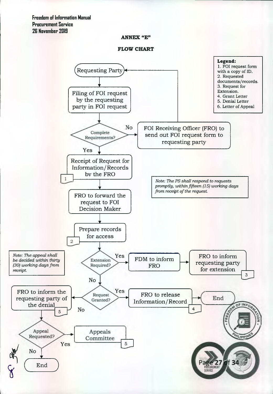# **ANNEX "E"**



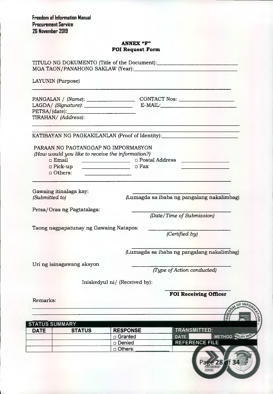# **ANNEX "F" FOI Request Form**

| LAYUNIN (Purpose)                                                      |                                                                                                                          |                                                                                  |  |
|------------------------------------------------------------------------|--------------------------------------------------------------------------------------------------------------------------|----------------------------------------------------------------------------------|--|
| TIRAHAN/(Address):                                                     |                                                                                                                          | PANGALAN / (Name): CONTACT Nos:                                                  |  |
|                                                                        |                                                                                                                          | KATIBAYAN NG PAGKAKILANLAN (Proof of Identity):_________________________________ |  |
| PARAAN NG PAGTANGGAP NG IMPORMASYON                                    |                                                                                                                          |                                                                                  |  |
| (How would you like to receive the information?)                       |                                                                                                                          |                                                                                  |  |
|                                                                        |                                                                                                                          | □ Email __________________________ □ Postal Address ___________________________  |  |
| $\Box$ Pick-up<br>□ Others:                                            | □ Fax<br>the contract of the contract of the contract of the contract of the contract of the contract of the contract of |                                                                                  |  |
| Gawaing itinalaga kay:<br>(Submitted to)<br>Petsa/Oras ng Pagtatalaga: |                                                                                                                          | (Lumagda sa ibaba ng pangalang nakalimbag)                                       |  |
|                                                                        |                                                                                                                          | (Date/Time of Submission)                                                        |  |
| Taong nagpapatunay ng Gawaing Natapos:                                 |                                                                                                                          | (Certified by)                                                                   |  |
|                                                                        |                                                                                                                          |                                                                                  |  |
|                                                                        |                                                                                                                          | (Lumagda sa ibaba ng pangalang nakalimbag)                                       |  |
| Uri ng isinagawang aksyon                                              |                                                                                                                          | (Type of Action conducted)                                                       |  |
|                                                                        | Iniskedyul ni/ (Received by):                                                                                            |                                                                                  |  |
|                                                                        |                                                                                                                          |                                                                                  |  |
|                                                                        |                                                                                                                          | <b>FOI Receiving Officer</b>                                                     |  |
|                                                                        |                                                                                                                          |                                                                                  |  |
|                                                                        |                                                                                                                          |                                                                                  |  |
|                                                                        |                                                                                                                          | ſë                                                                               |  |
| Remarks:<br><b>STATUS SUMMARY</b><br><b>DATE</b><br><b>STATUS</b>      | <b>RESPONSE</b>                                                                                                          | <b>TRANSMITTED:</b>                                                              |  |
|                                                                        | □ Granted<br>□ Denied                                                                                                    | METHOD <b>WIDDING</b><br><b>DATE</b><br><b>REFERENCE FILE</b>                    |  |

28 of 34

Pag SERVICE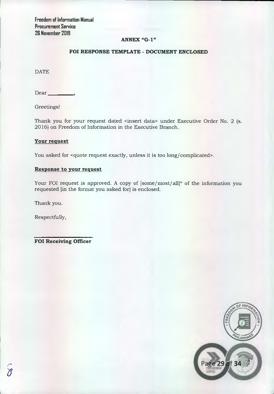# **ANNEX "G-1"**

# **FOI RESPONSE TEMPLATE - DOCUMENT ENCLOSED**

**DATE** 

 $Dear$ <sub>\_\_</sub>

Greetings!

Thank you for your request dated <insert data> under Executive Order No. 2 (s. 2016) on Freedom of Information in the Executive Branch.

# **Your request**

You asked for <quote request exactly, unless it is too long/complicated>.

## **Response to your request**

Your FOI request is approved. A copy of  $[some/most/all]^*$  of the information you requested [in the format you asked for] is enclosed.

Thank you.

Respectfully,

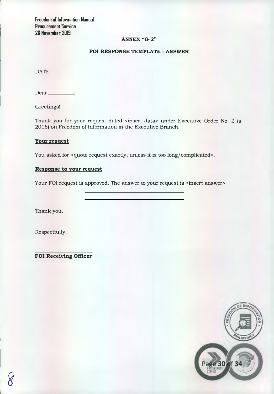# **ANNEX "G-2"**

# **POI RESPONSE TEMPLATE - ANSWER**

DATE

Dear

Greetings!

Thank you for your request dated <insert data> under Executive Order No. 2 (s. 2016) on Freedom of Information in the Executive Branch.

# **Your request**

You asked for <quote request exactly, unless it is too long/complicated>.

# **Response to your request**

Your FOI request is approved. The answer to your request is <insert answer>

Thank you.

Respectfully,

**FOI Receiving Officer** 



I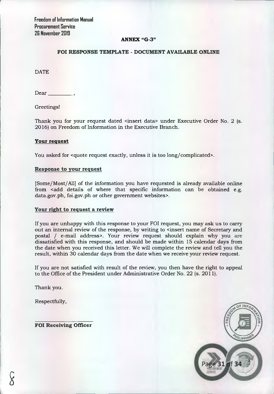# **ANNEX "G-3"**

# **FOI RESPONSE TEMPLATE - DOCUMENT AVAILABLE ONLINE**

DATE

Dear

Greetings!

Thank you for your request dated <insert data> under Executive Order No. 2 (s. 2016) on Freedom of Information in the Executive Branch.

# Your request

You asked for <quote request exactly, unless it is too long/complicated>.

# **Response to your request**

[Some/Most/All] of the information you have requested is already available online from <add details of where that specific information can be obtained e.g. data.gov.ph, foi.gov.ph or other government websites>.

# **Your right to request a review**

If you are unhappy with this response to your FOI request, you may ask us to carry out an internal review of the response, by writing to <insert name of Secretary and postal / e-mail address>. Your review request should explain why you are dissatisfied with this response, and should be made within 15 calendar days from the date when you received this letter. We will complete the review and tell you the result, within 30 calendar days from the date when we receive your review request.

If you are not satisfied with result of the review, you then have the right to appeal to the Office of the President under Administrative Order No. 22 (s. 2011).

Thank you.

Respectfully,

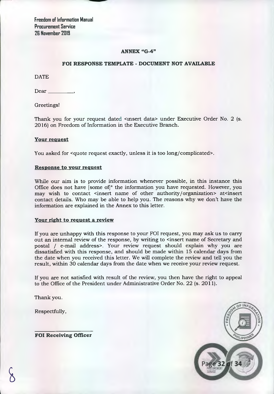# **ANNEX "G-4"**

# **FOI RESPONSE TEMPLATE - DOCUMENT NOT AVAILABLE**

DATE

Dear

Greetings!

Thank you for your request dated <insert data> under Executive Order No. 2 (s. 2016) on Freedom of Information in the Executive Branch.

# **Your request**

You asked for <quote request exactly, unless it is too long/complicated>.

## **Response to your request**

While our aim is to provide information whenever possible, in this instance this Office does not have [some of]\* the information you have requested. However, you may wish to contact <insert name of other authority/organization> at<insert contact details. Who may be able to help you. The reasons why we don't have the information are explained in the Annex to this letter.

# **Your right to request a review**

If you are unhappy with this response to your FOI request, you may ask us to carry out an internal review of the response, by writing to <insert name of Secretary and postal / e-mail address>. Your review request should explain why you are dissatisfied with this response, and should be made within 15 calendar days from the date when you received this letter. We will complete the review and tell you the result, within 30 calendar days from the date when we receive your review request.

If you are not satisfied with result of the review, you then have the right to appeal to the Office of the President under Administrative Order No. 22 (s. 2011).

Thank you.

Respectfully,

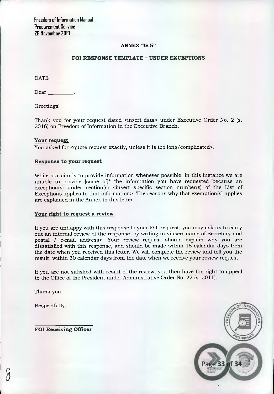# **ANNEX "G-5"**

# **FOI RESPONSE TEMPLATE - UNDER EXCEPTIONS**

DATE

Dear

Greetings!

Thank you for your request dated <insert data> under Executive Order No. 2 (s. 2016) on Freedom of Information in the Executive Branch.

## Your request

You asked for <quote request exactly, unless it is too long/complicated>.

## **Response to your request**

While our aim is to provide information whenever possible, in this instance we are unable to provide [some of]\* the information you have requested because an  $exception(s)$  under section(s) <insert specific section number(s) of the List of Exceptions applies to that information>. The reasons why that exemption(s) applies are explained in the Annex to this letter.

## **Your right to request a review**

If you are unhappy with this response to your FOI request, you may ask us to carry out an internal review of the response, by writing to <insert name of Secretary and postal / e-mail address>. Your review request should explain why you are dissatisfied with this response, and should be made within 15 calendar days from the date when you received this letter. We will complete the review and tell you the result, within 30 calendar days from the date when we receive your review request.

If you are not satisfied with result of the review, you then have the right to appeal to the Office of the President under Administrative Order No. 22 (s. 2011).

Thank you.

Respectfully,